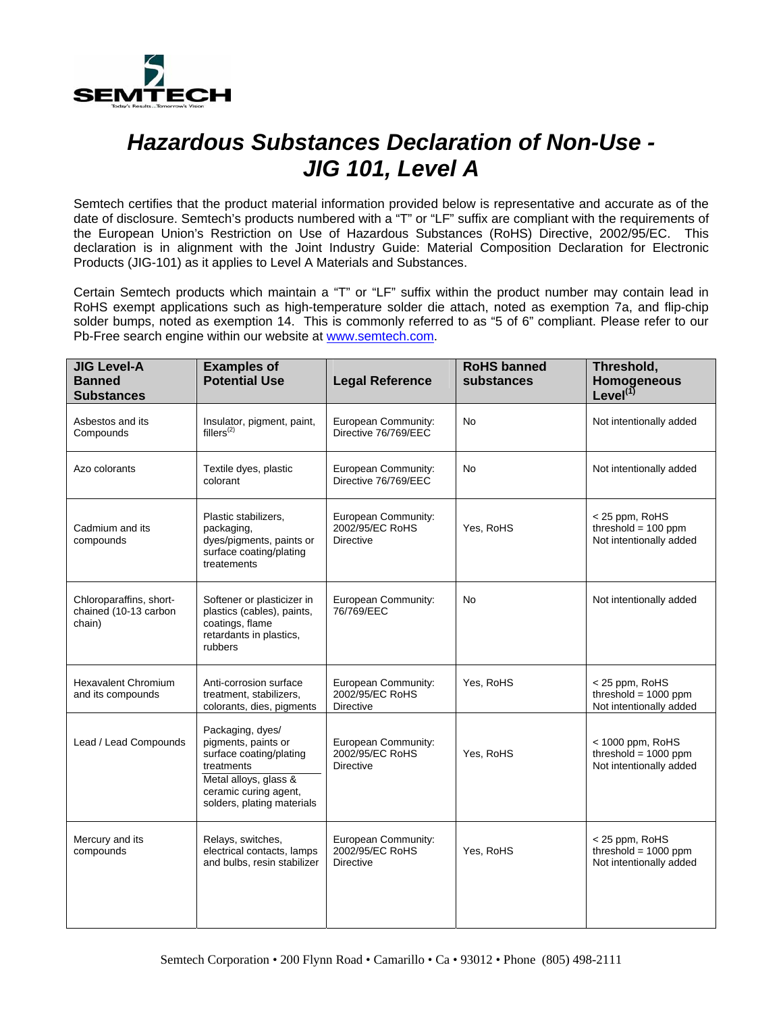

## *Hazardous Substances Declaration of Non-Use - JIG 101, Level A*

Semtech certifies that the product material information provided below is representative and accurate as of the date of disclosure. Semtech's products numbered with a "T" or "LF" suffix are compliant with the requirements of the European Union's Restriction on Use of Hazardous Substances (RoHS) Directive, 2002/95/EC. This declaration is in alignment with the Joint Industry Guide: Material Composition Declaration for Electronic Products (JIG-101) as it applies to Level A Materials and Substances.

Certain Semtech products which maintain a "T" or "LF" suffix within the product number may contain lead in RoHS exempt applications such as high-temperature solder die attach, noted as exemption 7a, and flip-chip solder bumps, noted as exemption 14. This is commonly referred to as "5 of 6" compliant. Please refer to our Pb-Free search engine within our website at [www.semtech.com.](http://www.semtech.com/)

| <b>JIG Level-A</b><br><b>Banned</b><br><b>Substances</b>   | <b>Examples of</b><br><b>Potential Use</b>                                                                                                                       | <b>Legal Reference</b>                                     | <b>RoHS</b> banned<br>substances | Threshold,<br>Homogeneous<br>Level <sup>(1)</sup>                     |
|------------------------------------------------------------|------------------------------------------------------------------------------------------------------------------------------------------------------------------|------------------------------------------------------------|----------------------------------|-----------------------------------------------------------------------|
| Asbestos and its<br>Compounds                              | Insulator, pigment, paint,<br>fillers <sup>(2)</sup>                                                                                                             | European Community:<br>Directive 76/769/EEC                | <b>No</b>                        | Not intentionally added                                               |
| Azo colorants                                              | Textile dyes, plastic<br>colorant                                                                                                                                | European Community:<br>Directive 76/769/EEC                | <b>No</b>                        | Not intentionally added                                               |
| Cadmium and its<br>compounds                               | Plastic stabilizers,<br>packaging,<br>dyes/pigments, paints or<br>surface coating/plating<br>treatements                                                         | European Community:<br>2002/95/EC RoHS<br><b>Directive</b> | Yes, RoHS                        | $<$ 25 ppm, RoHS<br>threshold = $100$ ppm<br>Not intentionally added  |
| Chloroparaffins, short-<br>chained (10-13 carbon<br>chain) | Softener or plasticizer in<br>plastics (cables), paints,<br>coatings, flame<br>retardants in plastics,<br>rubbers                                                | European Community:<br>76/769/EEC                          | No                               | Not intentionally added                                               |
| <b>Hexavalent Chromium</b><br>and its compounds            | Anti-corrosion surface<br>treatment, stabilizers,<br>colorants, dies, pigments                                                                                   | European Community:<br>2002/95/EC RoHS<br>Directive        | Yes, RoHS                        | < 25 ppm, RoHS<br>threshold = $1000$ ppm<br>Not intentionally added   |
| Lead / Lead Compounds                                      | Packaging, dyes/<br>pigments, paints or<br>surface coating/plating<br>treatments<br>Metal alloys, glass &<br>ceramic curing agent,<br>solders, plating materials | European Community:<br>2002/95/EC RoHS<br><b>Directive</b> | Yes, RoHS                        | < 1000 ppm, RoHS<br>threshold = $1000$ ppm<br>Not intentionally added |
| Mercury and its<br>compounds                               | Relays, switches,<br>electrical contacts, lamps<br>and bulbs, resin stabilizer                                                                                   | European Community:<br>2002/95/EC RoHS<br><b>Directive</b> | Yes, RoHS                        | $<$ 25 ppm, RoHS<br>threshold = $1000$ ppm<br>Not intentionally added |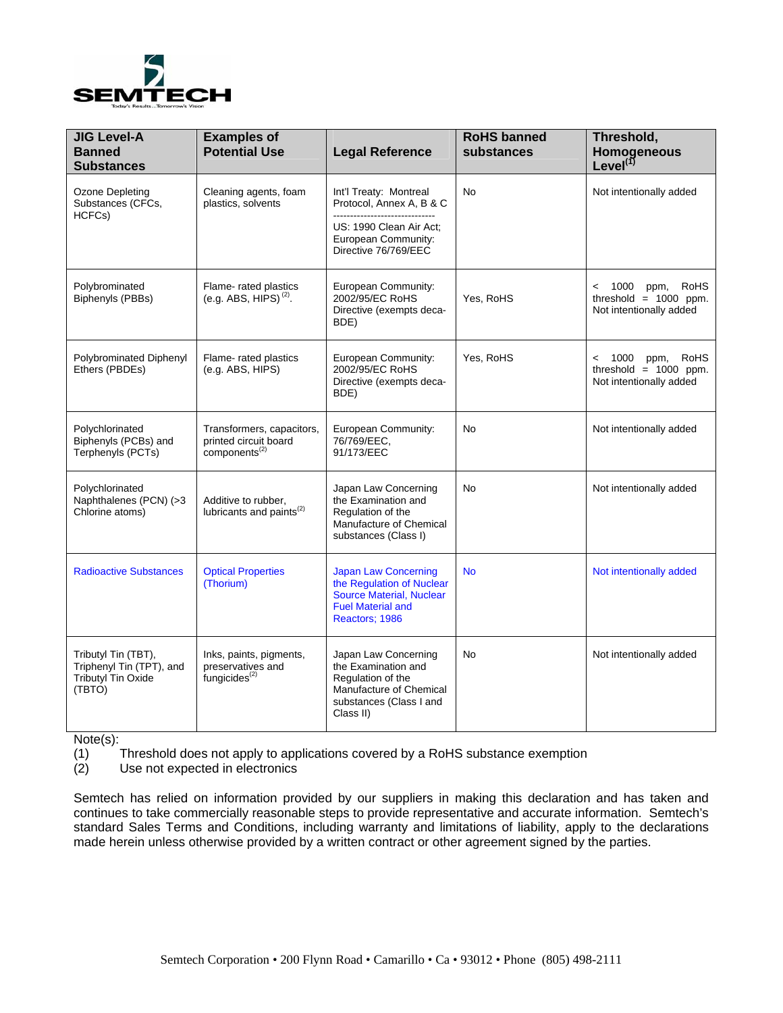

| <b>JIG Level-A</b><br><b>Banned</b><br><b>Substances</b>                               | <b>Examples of</b><br><b>Potential Use</b>                                | <b>Legal Reference</b>                                                                                                              | <b>RoHS banned</b><br>substances | Threshold,<br><b>Homogeneous</b><br>Level $^{(1)}$                                                            |
|----------------------------------------------------------------------------------------|---------------------------------------------------------------------------|-------------------------------------------------------------------------------------------------------------------------------------|----------------------------------|---------------------------------------------------------------------------------------------------------------|
| Ozone Depleting<br>Substances (CFCs,<br>HCFCs)                                         | Cleaning agents, foam<br>plastics, solvents                               | Int'l Treaty: Montreal<br>Protocol, Annex A, B & C<br>------------------------------                                                | <b>No</b>                        | Not intentionally added                                                                                       |
|                                                                                        |                                                                           | US: 1990 Clean Air Act:<br>European Community:<br>Directive 76/769/EEC                                                              |                                  |                                                                                                               |
| Polybrominated<br>Biphenyls (PBBs)                                                     | Flame-rated plastics<br>(e.g. ABS, HIPS) $^{(2)}$ .                       | European Community:<br>2002/95/EC RoHS<br>Directive (exempts deca-<br>BDE)                                                          | Yes, RoHS                        | 1000<br><b>RoHS</b><br>ppm,<br>$\overline{\phantom{a}}$<br>threshold = $1000$ ppm.<br>Not intentionally added |
| Polybrominated Diphenyl<br>Ethers (PBDEs)                                              | Flame-rated plastics<br>(e.g. ABS, HIPS)                                  | European Community:<br>2002/95/EC RoHS<br>Directive (exempts deca-<br>BDE)                                                          | Yes, RoHS                        | 1000<br><b>RoHS</b><br>$\prec$<br>ppm,<br>threshold = $1000$ ppm.<br>Not intentionally added                  |
| Polychlorinated<br>Biphenyls (PCBs) and<br>Terphenyls (PCTs)                           | Transformers, capacitors,<br>printed circuit board<br>components $(2)$    | European Community:<br>76/769/EEC,<br>91/173/EEC                                                                                    | No                               | Not intentionally added                                                                                       |
| Polychlorinated<br>Naphthalenes (PCN) (>3<br>Chlorine atoms)                           | Additive to rubber,<br>lubricants and paints <sup>(2)</sup>               | Japan Law Concerning<br>the Examination and<br>Regulation of the<br>Manufacture of Chemical<br>substances (Class I)                 | No                               | Not intentionally added                                                                                       |
| <b>Radioactive Substances</b>                                                          | <b>Optical Properties</b><br>(Thorium)                                    | Japan Law Concerning<br>the Regulation of Nuclear<br><b>Source Material, Nuclear</b><br><b>Fuel Material and</b><br>Reactors; 1986  | <b>No</b>                        | Not intentionally added                                                                                       |
| Tributyl Tin (TBT),<br>Triphenyl Tin (TPT), and<br><b>Tributyl Tin Oxide</b><br>(TBTO) | Inks, paints, pigments,<br>preservatives and<br>fungicides <sup>(2)</sup> | Japan Law Concerning<br>the Examination and<br>Regulation of the<br>Manufacture of Chemical<br>substances (Class I and<br>Class II) | No                               | Not intentionally added                                                                                       |

Note(s):

(1) Threshold does not apply to applications covered by a RoHS substance exemption (2) Use not expected in electronics

Use not expected in electronics

Semtech has relied on information provided by our suppliers in making this declaration and has taken and continues to take commercially reasonable steps to provide representative and accurate information. Semtech's standard Sales Terms and Conditions, including warranty and limitations of liability, apply to the declarations made herein unless otherwise provided by a written contract or other agreement signed by the parties.